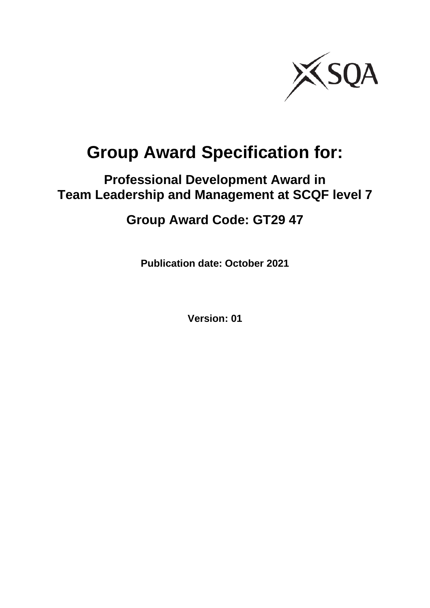

# **Group Award Specification for:**

### **Professional Development Award in Team Leadership and Management at SCQF level 7**

### **Group Award Code: GT29 47**

**Publication date: October 2021**

**Version: 01**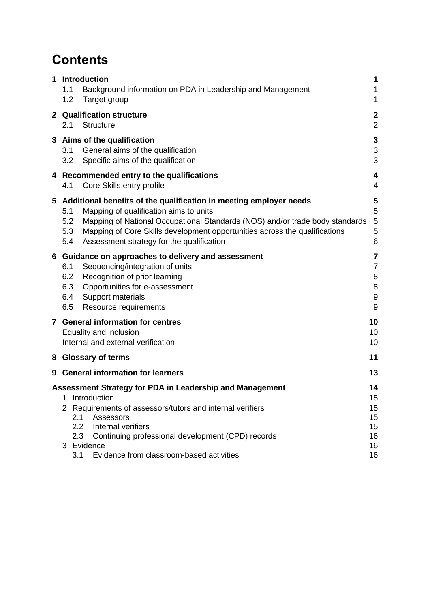## **Contents**

| 1 | 1.1<br>1.2                      | <b>Introduction</b><br>Background information on PDA in Leadership and Management<br>Target group                                                                                                                                                                                                                       | 1<br>1<br>1                                   |
|---|---------------------------------|-------------------------------------------------------------------------------------------------------------------------------------------------------------------------------------------------------------------------------------------------------------------------------------------------------------------------|-----------------------------------------------|
|   | 2.1                             | 2 Qualification structure<br><b>Structure</b>                                                                                                                                                                                                                                                                           | $\boldsymbol{2}$<br>$\overline{2}$            |
| 3 | 3.1<br>3.2                      | Aims of the qualification<br>General aims of the qualification<br>Specific aims of the qualification                                                                                                                                                                                                                    | 3<br>3<br>3                                   |
|   | 4.1                             | 4 Recommended entry to the qualifications<br>Core Skills entry profile                                                                                                                                                                                                                                                  | 4<br>4                                        |
| 5 | 5.1<br>5.2<br>5.3<br>5.4        | Additional benefits of the qualification in meeting employer needs<br>Mapping of qualification aims to units<br>Mapping of National Occupational Standards (NOS) and/or trade body standards<br>Mapping of Core Skills development opportunities across the qualifications<br>Assessment strategy for the qualification | 5<br>5<br>$\overline{5}$<br>5<br>6            |
|   | 6.1<br>6.2<br>6.3<br>6.4<br>6.5 | 6 Guidance on approaches to delivery and assessment<br>Sequencing/integration of units<br>Recognition of prior learning<br>Opportunities for e-assessment<br>Support materials<br>Resource requirements                                                                                                                 | 7<br>$\overline{7}$<br>$\,8\,$<br>8<br>9<br>9 |
|   |                                 | 7 General information for centres<br>Equality and inclusion<br>Internal and external verification                                                                                                                                                                                                                       | 10<br>10<br>10                                |
|   |                                 | 8 Glossary of terms                                                                                                                                                                                                                                                                                                     | 11                                            |
| 9 |                                 | <b>General information for learners</b>                                                                                                                                                                                                                                                                                 | 13                                            |
|   | 1<br>2.1<br>2.2<br>2.3<br>3.1   | Assessment Strategy for PDA in Leadership and Management<br>Introduction<br>2 Requirements of assessors/tutors and internal verifiers<br>Assessors<br>Internal verifiers<br>Continuing professional development (CPD) records<br>3 Evidence<br>Evidence from classroom-based activities                                 | 14<br>15<br>15<br>15<br>15<br>16<br>16<br>16  |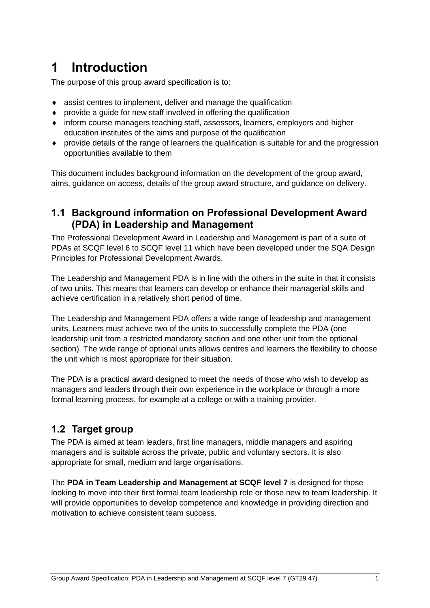## <span id="page-2-0"></span>**1 Introduction**

The purpose of this group award specification is to:

- assist centres to implement, deliver and manage the qualification
- provide a guide for new staff involved in offering the qualification
- inform course managers teaching staff, assessors, learners, employers and higher education institutes of the aims and purpose of the qualification
- provide details of the range of learners the qualification is suitable for and the progression opportunities available to them

This document includes background information on the development of the group award, aims, guidance on access, details of the group award structure, and guidance on delivery.

#### <span id="page-2-1"></span>**1.1 Background information on Professional Development Award (PDA) in Leadership and Management**

The Professional Development Award in Leadership and Management is part of a suite of PDAs at SCQF level 6 to SCQF level 11 which have been developed under the SQA Design Principles for Professional Development Awards.

The Leadership and Management PDA is in line with the others in the suite in that it consists of two units. This means that learners can develop or enhance their managerial skills and achieve certification in a relatively short period of time.

The Leadership and Management PDA offers a wide range of leadership and management units. Learners must achieve two of the units to successfully complete the PDA (one leadership unit from a restricted mandatory section and one other unit from the optional section). The wide range of optional units allows centres and learners the flexibility to choose the unit which is most appropriate for their situation.

The PDA is a practical award designed to meet the needs of those who wish to develop as managers and leaders through their own experience in the workplace or through a more formal learning process, for example at a college or with a training provider.

#### <span id="page-2-2"></span>**1.2 Target group**

The PDA is aimed at team leaders, first line managers, middle managers and aspiring managers and is suitable across the private, public and voluntary sectors. It is also appropriate for small, medium and large organisations.

The **PDA in Team Leadership and Management at SCQF level 7** is designed for those looking to move into their first formal team leadership role or those new to team leadership. It will provide opportunities to develop competence and knowledge in providing direction and motivation to achieve consistent team success.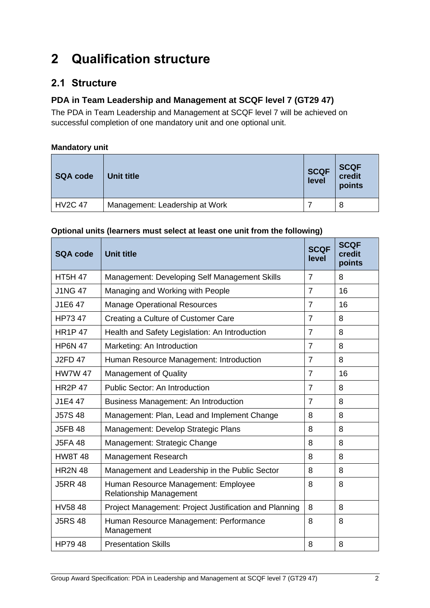## <span id="page-3-0"></span>**2 Qualification structure**

#### <span id="page-3-1"></span>**2.1 Structure**

#### **PDA in Team Leadership and Management at SCQF level 7 (GT29 47)**

The PDA in Team Leadership and Management at SCQF level 7 will be achieved on successful completion of one mandatory unit and one optional unit.

#### **Mandatory unit**

| <b>SQA code</b> | Unit title                     | <b>SCQF</b><br>level | <b>SCQF</b><br>credit<br>points |
|-----------------|--------------------------------|----------------------|---------------------------------|
| <b>HV2C 47</b>  | Management: Leadership at Work |                      | 8                               |

#### **Optional units (learners must select at least one unit from the following)**

| <b>SQA code</b> | <b>Unit title</b>                                                     | <b>SCQF</b><br>level | <b>SCQF</b><br>credit<br>points |
|-----------------|-----------------------------------------------------------------------|----------------------|---------------------------------|
| <b>HT5H 47</b>  | Management: Developing Self Management Skills                         | $\overline{7}$       | 8                               |
| <b>J1NG 47</b>  | Managing and Working with People                                      | $\overline{7}$       | 16                              |
| J1E6 47         | <b>Manage Operational Resources</b>                                   | $\overline{7}$       | 16                              |
| HP73 47         | Creating a Culture of Customer Care                                   | $\overline{7}$       | 8                               |
| <b>HR1P47</b>   | Health and Safety Legislation: An Introduction                        | $\overline{7}$       | 8                               |
| <b>HP6N 47</b>  | Marketing: An Introduction                                            | $\overline{7}$       | 8                               |
| J2FD 47         | Human Resource Management: Introduction                               | $\overline{7}$       | 8                               |
| <b>HW7W 47</b>  | <b>Management of Quality</b>                                          | $\overline{7}$       | 16                              |
| <b>HR2P 47</b>  | <b>Public Sector: An Introduction</b>                                 |                      | 8                               |
| J1E4 47         | Business Management: An Introduction                                  |                      | 8                               |
| <b>J57S48</b>   | Management: Plan, Lead and Implement Change<br>8                      |                      | 8                               |
| <b>J5FB 48</b>  | Management: Develop Strategic Plans                                   |                      | 8                               |
| <b>J5FA 48</b>  | Management: Strategic Change                                          |                      | 8                               |
| <b>HW8T48</b>   | Management Research                                                   | 8                    | 8                               |
| <b>HR2N 48</b>  | Management and Leadership in the Public Sector                        | 8                    | 8                               |
| <b>J5RR 48</b>  | Human Resource Management: Employee<br><b>Relationship Management</b> |                      | 8                               |
| HV58 48         | Project Management: Project Justification and Planning                |                      | 8                               |
| <b>J5RS 48</b>  | Human Resource Management: Performance<br>Management                  | 8                    | 8                               |
| <b>HP7948</b>   | <b>Presentation Skills</b>                                            | 8                    | 8                               |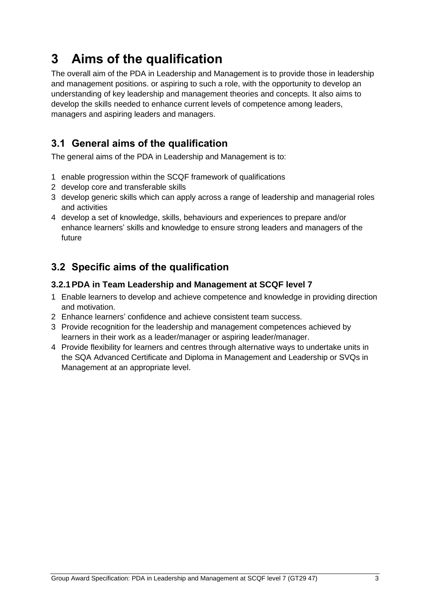## <span id="page-4-0"></span>**3 Aims of the qualification**

The overall aim of the PDA in Leadership and Management is to provide those in leadership and management positions. or aspiring to such a role, with the opportunity to develop an understanding of key leadership and management theories and concepts. It also aims to develop the skills needed to enhance current levels of competence among leaders, managers and aspiring leaders and managers.

#### <span id="page-4-1"></span>**3.1 General aims of the qualification**

The general aims of the PDA in Leadership and Management is to:

- 1 enable progression within the SCQF framework of qualifications
- 2 develop core and transferable skills
- 3 develop generic skills which can apply across a range of leadership and managerial roles and activities
- 4 develop a set of knowledge, skills, behaviours and experiences to prepare and/or enhance learners' skills and knowledge to ensure strong leaders and managers of the future

#### <span id="page-4-2"></span>**3.2 Specific aims of the qualification**

#### **3.2.1PDA in Team Leadership and Management at SCQF level 7**

- 1 Enable learners to develop and achieve competence and knowledge in providing direction and motivation.
- 2 Enhance learners' confidence and achieve consistent team success.
- 3 Provide recognition for the leadership and management competences achieved by learners in their work as a leader/manager or aspiring leader/manager.
- 4 Provide flexibility for learners and centres through alternative ways to undertake units in the SQA Advanced Certificate and Diploma in Management and Leadership or SVQs in Management at an appropriate level.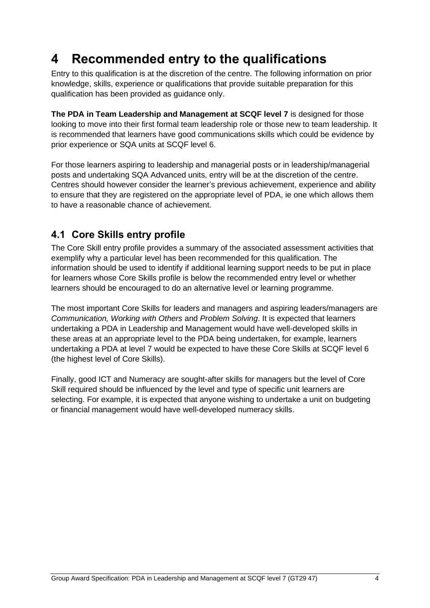## <span id="page-5-0"></span>**4 Recommended entry to the qualifications**

Entry to this qualification is at the discretion of the centre. The following information on prior knowledge, skills, experience or qualifications that provide suitable preparation for this qualification has been provided as guidance only.

**The PDA in Team Leadership and Management at SCQF level 7** is designed for those looking to move into their first formal team leadership role or those new to team leadership. It is recommended that learners have good communications skills which could be evidence by prior experience or SQA units at SCQF level 6.

For those learners aspiring to leadership and managerial posts or in leadership/managerial posts and undertaking SQA Advanced units, entry will be at the discretion of the centre. Centres should however consider the learner's previous achievement, experience and ability to ensure that they are registered on the appropriate level of PDA, ie one which allows them to have a reasonable chance of achievement.

#### <span id="page-5-1"></span>**4.1 Core Skills entry profile**

The Core Skill entry profile provides a summary of the associated assessment activities that exemplify why a particular level has been recommended for this qualification. The information should be used to identify if additional learning support needs to be put in place for learners whose Core Skills profile is below the recommended entry level or whether learners should be encouraged to do an alternative level or learning programme.

The most important Core Skills for leaders and managers and aspiring leaders/managers are *Communication, Working with Others* and *Problem Solving*. It is expected that learners undertaking a PDA in Leadership and Management would have well-developed skills in these areas at an appropriate level to the PDA being undertaken, for example, learners undertaking a PDA at level 7 would be expected to have these Core Skills at SCQF level 6 (the highest level of Core Skills).

Finally, good ICT and Numeracy are sought-after skills for managers but the level of Core Skill required should be influenced by the level and type of specific unit learners are selecting. For example, it is expected that anyone wishing to undertake a unit on budgeting or financial management would have well-developed numeracy skills.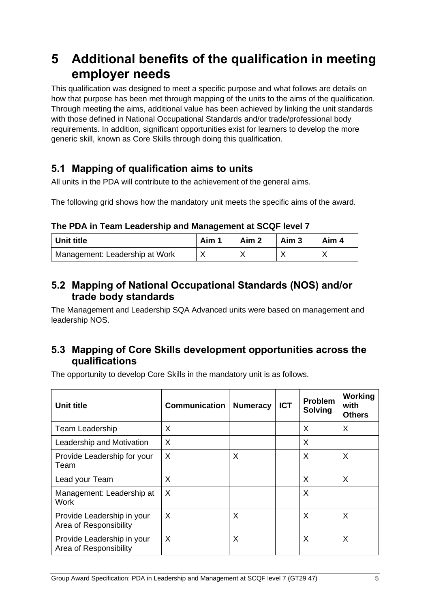### <span id="page-6-0"></span>**5 Additional benefits of the qualification in meeting employer needs**

This qualification was designed to meet a specific purpose and what follows are details on how that purpose has been met through mapping of the units to the aims of the qualification. Through meeting the aims, additional value has been achieved by linking the unit standards with those defined in National Occupational Standards and/or trade/professional body requirements. In addition, significant opportunities exist for learners to develop the more generic skill, known as Core Skills through doing this qualification.

#### <span id="page-6-1"></span>**5.1 Mapping of qualification aims to units**

All units in the PDA will contribute to the achievement of the general aims.

The following grid shows how the mandatory unit meets the specific aims of the award.

**The PDA in Team Leadership and Management at SCQF level 7** 

| <b>Unit title</b>              | Aim 1 | Aim 2 | Aim <sub>3</sub> | Aim 4 |
|--------------------------------|-------|-------|------------------|-------|
| Management: Leadership at Work |       |       |                  |       |

#### <span id="page-6-2"></span>**5.2 Mapping of National Occupational Standards (NOS) and/or trade body standards**

The Management and Leadership SQA Advanced units were based on management and leadership NOS.

#### <span id="page-6-3"></span>**5.3 Mapping of Core Skills development opportunities across the qualifications**

The opportunity to develop Core Skills in the mandatory unit is as follows.

| <b>Unit title</b>                                    | <b>Communication</b> | <b>Numeracy</b> | <b>ICT</b> | <b>Problem</b><br><b>Solving</b> | Working<br>with<br><b>Others</b> |
|------------------------------------------------------|----------------------|-----------------|------------|----------------------------------|----------------------------------|
| Team Leadership                                      | X                    |                 |            | X                                | X                                |
| Leadership and Motivation                            | X                    |                 |            | X                                |                                  |
| Provide Leadership for your<br>Team                  | $\times$             | X               |            | X                                | X                                |
| Lead your Team                                       | X                    |                 |            | X                                | X                                |
| Management: Leadership at<br><b>Work</b>             | X                    |                 |            | X                                |                                  |
| Provide Leadership in your<br>Area of Responsibility | X                    | X               |            | X                                | X                                |
| Provide Leadership in your<br>Area of Responsibility | X                    | X               |            | X                                | X                                |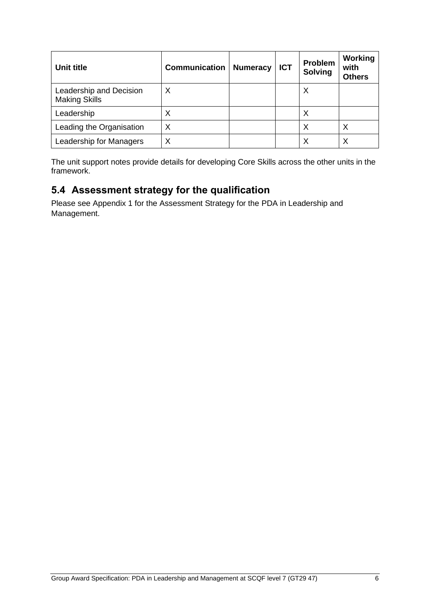| Unit title                                      | Communication | <b>Numeracy</b> | <b>ICT</b> | <b>Problem</b><br><b>Solving</b> | <b>Working</b><br>with<br><b>Others</b> |
|-------------------------------------------------|---------------|-----------------|------------|----------------------------------|-----------------------------------------|
| Leadership and Decision<br><b>Making Skills</b> | X             |                 |            | X                                |                                         |
| Leadership                                      | Χ             |                 |            | Х                                |                                         |
| Leading the Organisation                        | $\times$      |                 |            | Χ                                |                                         |
| Leadership for Managers                         | Χ             |                 |            | Х                                |                                         |

The unit support notes provide details for developing Core Skills across the other units in the framework.

#### <span id="page-7-0"></span>**5.4 Assessment strategy for the qualification**

Please see Appendix 1 for the Assessment Strategy for the PDA in Leadership and Management.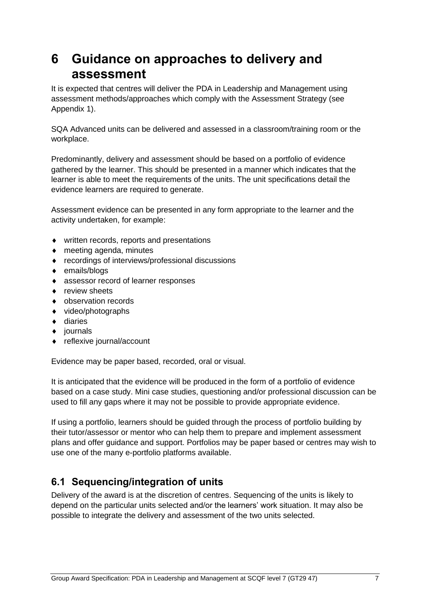### <span id="page-8-0"></span>**6 Guidance on approaches to delivery and assessment**

It is expected that centres will deliver the PDA in Leadership and Management using assessment methods/approaches which comply with the Assessment Strategy (see Appendix 1).

SQA Advanced units can be delivered and assessed in a classroom/training room or the workplace.

Predominantly, delivery and assessment should be based on a portfolio of evidence gathered by the learner. This should be presented in a manner which indicates that the learner is able to meet the requirements of the units. The unit specifications detail the evidence learners are required to generate.

Assessment evidence can be presented in any form appropriate to the learner and the activity undertaken, for example:

- written records, reports and presentations
- meeting agenda, minutes
- recordings of interviews/professional discussions
- emails/blogs
- assessor record of learner responses
- **\*** review sheets
- observation records
- video/photographs
- $\bullet$  diaries
- $\bullet$  iournals
- reflexive journal/account

Evidence may be paper based, recorded, oral or visual.

It is anticipated that the evidence will be produced in the form of a portfolio of evidence based on a case study. Mini case studies, questioning and/or professional discussion can be used to fill any gaps where it may not be possible to provide appropriate evidence.

If using a portfolio, learners should be guided through the process of portfolio building by their tutor/assessor or mentor who can help them to prepare and implement assessment plans and offer guidance and support. Portfolios may be paper based or centres may wish to use one of the many e-portfolio platforms available.

#### <span id="page-8-1"></span>**6.1 Sequencing/integration of units**

Delivery of the award is at the discretion of centres. Sequencing of the units is likely to depend on the particular units selected and/or the learners' work situation. It may also be possible to integrate the delivery and assessment of the two units selected.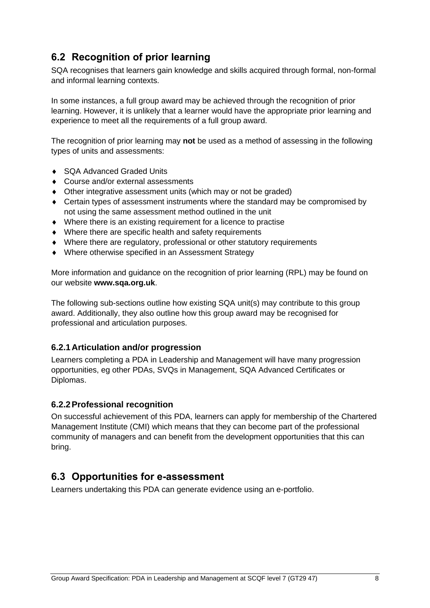#### <span id="page-9-0"></span>**6.2 Recognition of prior learning**

SQA recognises that learners gain knowledge and skills acquired through formal, non-formal and informal learning contexts.

In some instances, a full group award may be achieved through the recognition of prior learning. However, it is unlikely that a learner would have the appropriate prior learning and experience to meet all the requirements of a full group award.

The recognition of prior learning may **not** be used as a method of assessing in the following types of units and assessments:

- ◆ SQA Advanced Graded Units
- ◆ Course and/or external assessments
- Other integrative assessment units (which may or not be graded)
- Certain types of assessment instruments where the standard may be compromised by not using the same assessment method outlined in the unit
- Where there is an existing requirement for a licence to practise
- Where there are specific health and safety requirements
- Where there are regulatory, professional or other statutory requirements
- Where otherwise specified in an Assessment Strategy

More information and guidance on the recognition of prior learning (RPL) may be found on our website **[www.sqa.org.uk](http://www.sqa.org.uk/)**.

The following sub-sections outline how existing SQA unit(s) may contribute to this group award. Additionally, they also outline how this group award may be recognised for professional and articulation purposes.

#### **6.2.1Articulation and/or progression**

Learners completing a PDA in Leadership and Management will have many progression opportunities, eg other PDAs, SVQs in Management, SQA Advanced Certificates or Diplomas.

#### **6.2.2Professional recognition**

On successful achievement of this PDA, learners can apply for membership of the Chartered Management Institute (CMI) which means that they can become part of the professional community of managers and can benefit from the development opportunities that this can bring.

#### <span id="page-9-1"></span>**6.3 Opportunities for e-assessment**

Learners undertaking this PDA can generate evidence using an e-portfolio.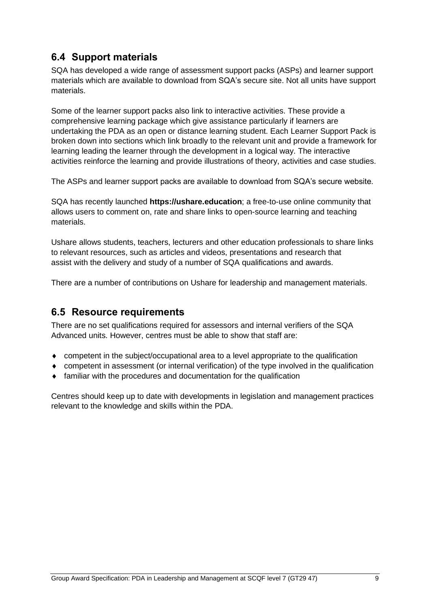#### <span id="page-10-0"></span>**6.4 Support materials**

SQA has developed a wide range of assessment support packs (ASPs) and learner support materials which are available to download from SQA's secure site. Not all units have support materials.

Some of the learner support packs also link to interactive activities. These provide a comprehensive learning package which give assistance particularly if learners are undertaking the PDA as an open or distance learning student. Each Learner Support Pack is broken down into sections which link broadly to the relevant unit and provide a framework for learning leading the learner through the development in a logical way. The interactive activities reinforce the learning and provide illustrations of theory, activities and case studies.

The ASPs and learner support packs are available to download from SQA's secure website.

SQA has recently launched **[https://ushare.education](https://ushare.education/Ushare/Home)**; a free-to-use online community that allows users to comment on, rate and share links to open-source learning and teaching materials.

Ushare allows students, teachers, lecturers and other education professionals to share links to relevant resources, such as articles and videos, presentations and research that assist with the delivery and study of a number of SQA qualifications and awards.

There are a number of contributions on Ushare for leadership and management materials.

#### <span id="page-10-1"></span>**6.5 Resource requirements**

There are no set qualifications required for assessors and internal verifiers of the SQA Advanced units. However, centres must be able to show that staff are:

- competent in the subject/occupational area to a level appropriate to the qualification
- competent in assessment (or internal verification) of the type involved in the qualification
- familiar with the procedures and documentation for the qualification

Centres should keep up to date with developments in legislation and management practices relevant to the knowledge and skills within the PDA.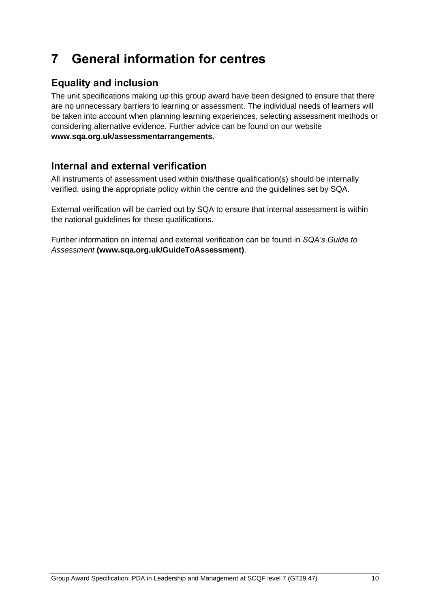## <span id="page-11-0"></span>**7 General information for centres**

#### <span id="page-11-1"></span>**Equality and inclusion**

The unit specifications making up this group award have been designed to ensure that there are no unnecessary barriers to learning or assessment. The individual needs of learners will be taken into account when planning learning experiences, selecting assessment methods or considering alternative evidence. Further advice can be found on our website **[www.sqa.org.uk/assessmentarrangements](http://www.sqa.org.uk/sqa/14977.html)**.

#### <span id="page-11-2"></span>**Internal and external verification**

All instruments of assessment used within this/these qualification(s) should be internally verified, using the appropriate policy within the centre and the guidelines set by SQA.

External verification will be carried out by SQA to ensure that internal assessment is within the national guidelines for these qualifications.

Further information on internal and external verification can be found in *SQA's Guide to Assessment* **[\(www.sqa.org.uk/GuideToAssessment\)](http://www.sqa.org.uk/sqa/files_ccc/GuideToAssessment.pdf)**.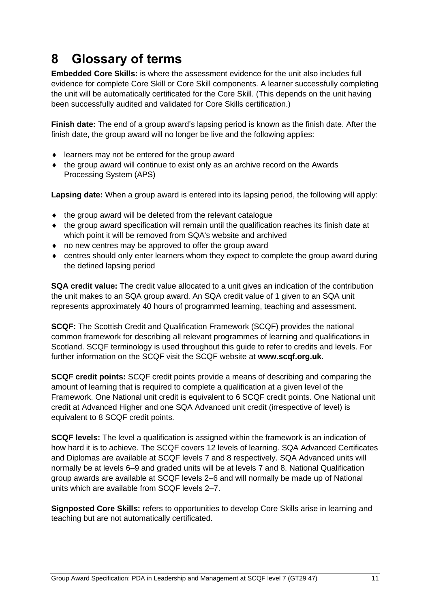## <span id="page-12-0"></span>**8 Glossary of terms**

**Embedded Core Skills:** is where the assessment evidence for the unit also includes full evidence for complete Core Skill or Core Skill components. A learner successfully completing the unit will be automatically certificated for the Core Skill. (This depends on the unit having been successfully audited and validated for Core Skills certification.)

**Finish date:** The end of a group award's lapsing period is known as the finish date. After the finish date, the group award will no longer be live and the following applies:

- ♦ learners may not be entered for the group award
- the group award will continue to exist only as an archive record on the Awards Processing System (APS)

**Lapsing date:** When a group award is entered into its lapsing period, the following will apply:

- $\bullet$  the group award will be deleted from the relevant catalogue
- the group award specification will remain until the qualification reaches its finish date at which point it will be removed from SQA's website and archived
- no new centres may be approved to offer the group award
- centres should only enter learners whom they expect to complete the group award during the defined lapsing period

**SQA credit value:** The credit value allocated to a unit gives an indication of the contribution the unit makes to an SQA group award. An SQA credit value of 1 given to an SQA unit represents approximately 40 hours of programmed learning, teaching and assessment.

**SCQF:** The Scottish Credit and Qualification Framework (SCQF) provides the national common framework for describing all relevant programmes of learning and qualifications in Scotland. SCQF terminology is used throughout this guide to refer to credits and levels. For further information on the SCQF visit the SCQF website at **[www.scqf.org.uk](http://www.scqf.org.uk/)**.

**SCQF credit points:** SCQF credit points provide a means of describing and comparing the amount of learning that is required to complete a qualification at a given level of the Framework. One National unit credit is equivalent to 6 SCQF credit points. One National unit credit at Advanced Higher and one SQA Advanced unit credit (irrespective of level) is equivalent to 8 SCQF credit points.

**SCQF levels:** The level a qualification is assigned within the framework is an indication of how hard it is to achieve. The SCQF covers 12 levels of learning. SQA Advanced Certificates and Diplomas are available at SCQF levels 7 and 8 respectively. SQA Advanced units will normally be at levels 6–9 and graded units will be at levels 7 and 8. National Qualification group awards are available at SCQF levels 2–6 and will normally be made up of National units which are available from SCQF levels 2–7.

**Signposted Core Skills:** refers to opportunities to develop Core Skills arise in learning and teaching but are not automatically certificated.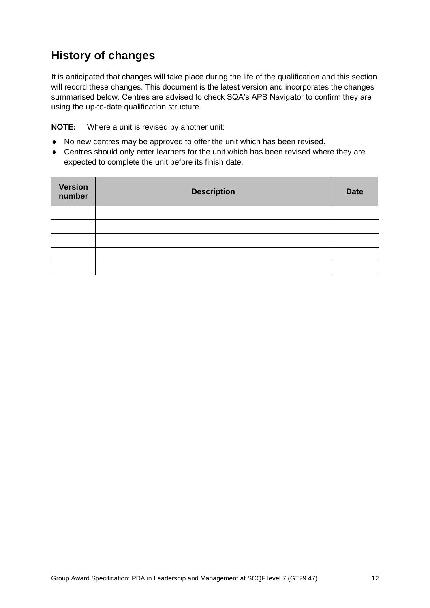### **History of changes**

It is anticipated that changes will take place during the life of the qualification and this section will record these changes. This document is the latest version and incorporates the changes summarised below. Centres are advised to check SQA's APS Navigator to confirm they are using the up-to-date qualification structure.

**NOTE:** Where a unit is revised by another unit:

- No new centres may be approved to offer the unit which has been revised.
- Centres should only enter learners for the unit which has been revised where they are expected to complete the unit before its finish date.

| <b>Version</b><br>number | <b>Description</b> | <b>Date</b> |
|--------------------------|--------------------|-------------|
|                          |                    |             |
|                          |                    |             |
|                          |                    |             |
|                          |                    |             |
|                          |                    |             |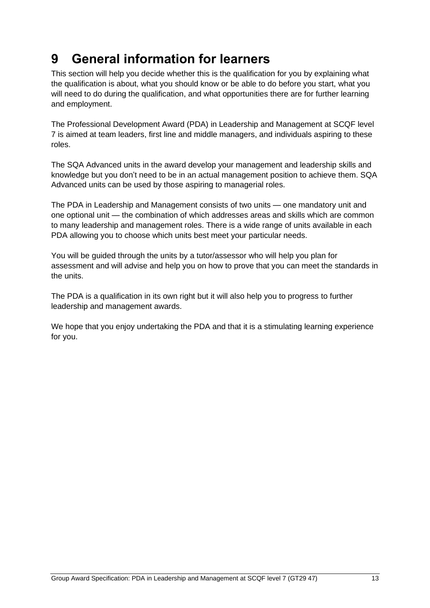## <span id="page-14-0"></span>**9 General information for learners**

This section will help you decide whether this is the qualification for you by explaining what the qualification is about, what you should know or be able to do before you start, what you will need to do during the qualification, and what opportunities there are for further learning and employment.

The Professional Development Award (PDA) in Leadership and Management at SCQF level 7 is aimed at team leaders, first line and middle managers, and individuals aspiring to these roles.

The SQA Advanced units in the award develop your management and leadership skills and knowledge but you don't need to be in an actual management position to achieve them. SQA Advanced units can be used by those aspiring to managerial roles.

The PDA in Leadership and Management consists of two units — one mandatory unit and one optional unit — the combination of which addresses areas and skills which are common to many leadership and management roles. There is a wide range of units available in each PDA allowing you to choose which units best meet your particular needs.

You will be guided through the units by a tutor/assessor who will help you plan for assessment and will advise and help you on how to prove that you can meet the standards in the units.

The PDA is a qualification in its own right but it will also help you to progress to further leadership and management awards.

We hope that you enjoy undertaking the PDA and that it is a stimulating learning experience for you.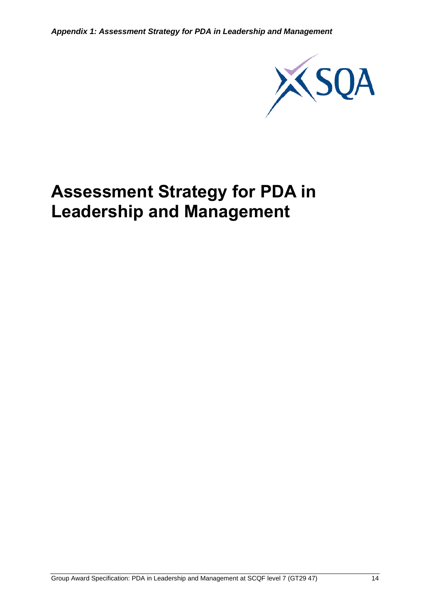*Appendix 1: Assessment Strategy for PDA in Leadership and Management*



# <span id="page-15-0"></span>**Assessment Strategy for PDA in Leadership and Management**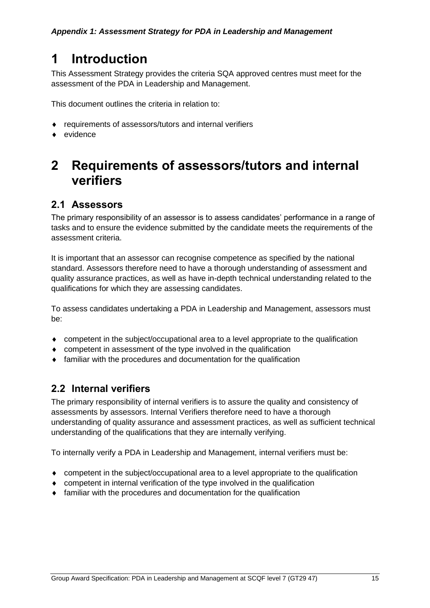### <span id="page-16-0"></span>**1 Introduction**

This Assessment Strategy provides the criteria SQA approved centres must meet for the assessment of the PDA in Leadership and Management.

This document outlines the criteria in relation to:

- requirements of assessors/tutors and internal verifiers
- evidence

### <span id="page-16-1"></span>**2 Requirements of assessors/tutors and internal verifiers**

#### <span id="page-16-2"></span>**2.1 Assessors**

The primary responsibility of an assessor is to assess candidates' performance in a range of tasks and to ensure the evidence submitted by the candidate meets the requirements of the assessment criteria.

It is important that an assessor can recognise competence as specified by the national standard. Assessors therefore need to have a thorough understanding of assessment and quality assurance practices, as well as have in-depth technical understanding related to the qualifications for which they are assessing candidates.

To assess candidates undertaking a PDA in Leadership and Management, assessors must be:

- competent in the subject/occupational area to a level appropriate to the qualification
- competent in assessment of the type involved in the qualification
- $\bullet$  familiar with the procedures and documentation for the qualification

#### <span id="page-16-3"></span>**2.2 Internal verifiers**

The primary responsibility of internal verifiers is to assure the quality and consistency of assessments by assessors. Internal Verifiers therefore need to have a thorough understanding of quality assurance and assessment practices, as well as sufficient technical understanding of the qualifications that they are internally verifying.

To internally verify a PDA in Leadership and Management, internal verifiers must be:

- competent in the subject/occupational area to a level appropriate to the qualification
- competent in internal verification of the type involved in the qualification
- familiar with the procedures and documentation for the qualification